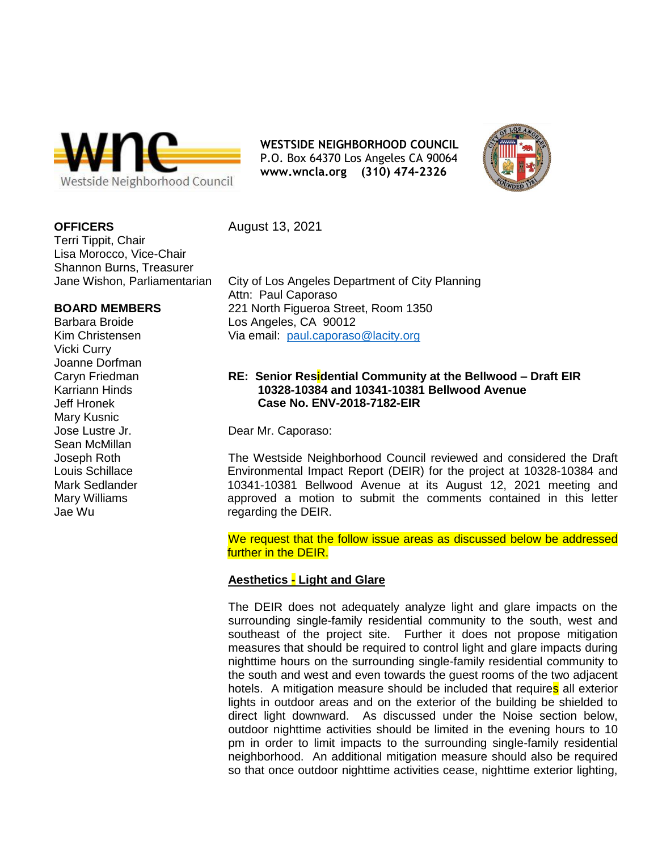

**WESTSIDE NEIGHBORHOOD COUNCIL** P.O. Box 64370 Los Angeles CA 90064 **[www.wncla.org](http://www.wncla.org/) (310) 474-2326**



### **OFFICERS**

Terri Tippit, Chair Lisa Morocco, Vice-Chair Shannon Burns, Treasurer Jane Wishon, Parliamentarian

### **BOARD MEMBERS**

Barbara Broide Kim Christensen Vicki Curry Joanne Dorfman Caryn Friedman Karriann Hinds Jeff Hronek Mary Kusnic Jose Lustre Jr. Sean McMillan Joseph Roth Louis Schillace Mark Sedlander Mary Williams Jae Wu

August 13, 2021

City of Los Angeles Department of City Planning Attn: Paul Caporaso 221 North Figueroa Street, Room 1350 Los Angeles, CA 90012 Via email: [paul.caporaso@lacity.org](mailto:paul.caporaso@lacity.org)

## **RE: Senior Residential Community at the Bellwood – Draft EIR 10328-10384 and 10341-10381 Bellwood Avenue Case No. ENV-2018-7182-EIR**

Dear Mr. Caporaso:

The Westside Neighborhood Council reviewed and considered the Draft Environmental Impact Report (DEIR) for the project at 10328-10384 and 10341-10381 Bellwood Avenue at its August 12, 2021 meeting and approved a motion to submit the comments contained in this letter regarding the DEIR.

We request that the follow issue areas as discussed below be addressed further in the DEIR.

# **Aesthetics - Light and Glare**

The DEIR does not adequately analyze light and glare impacts on the surrounding single-family residential community to the south, west and southeast of the project site. Further it does not propose mitigation measures that should be required to control light and glare impacts during nighttime hours on the surrounding single-family residential community to the south and west and even towards the guest rooms of the two adjacent hotels. A mitigation measure should be included that requires all exterior lights in outdoor areas and on the exterior of the building be shielded to direct light downward. As discussed under the Noise section below, outdoor nighttime activities should be limited in the evening hours to 10 pm in order to limit impacts to the surrounding single-family residential neighborhood. An additional mitigation measure should also be required so that once outdoor nighttime activities cease, nighttime exterior lighting,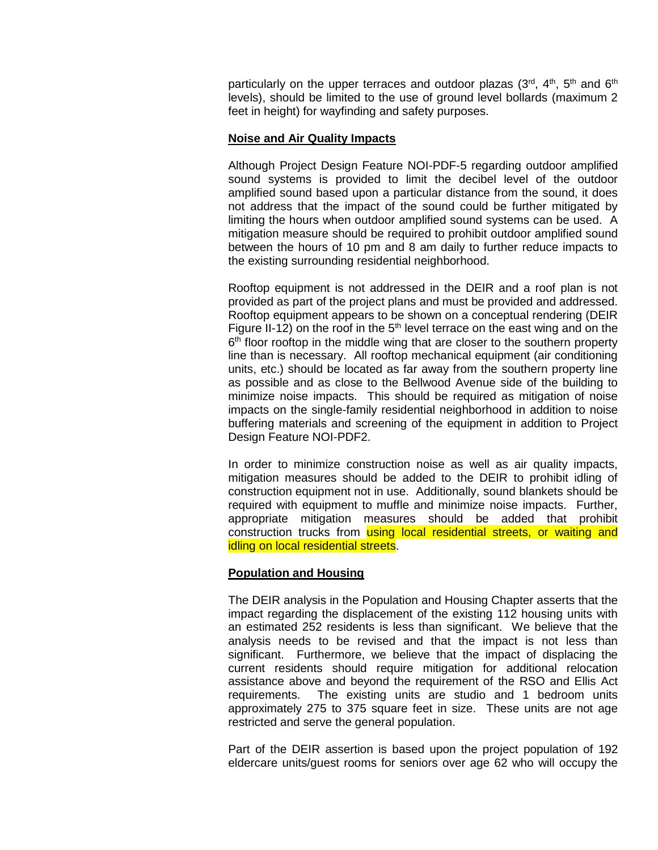particularly on the upper terraces and outdoor plazas  $(3^{rd}, 4^{th}, 5^{th}, 6^{th})$ levels), should be limited to the use of ground level bollards (maximum 2 feet in height) for wayfinding and safety purposes.

#### **Noise and Air Quality Impacts**

Although Project Design Feature NOI-PDF-5 regarding outdoor amplified sound systems is provided to limit the decibel level of the outdoor amplified sound based upon a particular distance from the sound, it does not address that the impact of the sound could be further mitigated by limiting the hours when outdoor amplified sound systems can be used. A mitigation measure should be required to prohibit outdoor amplified sound between the hours of 10 pm and 8 am daily to further reduce impacts to the existing surrounding residential neighborhood.

Rooftop equipment is not addressed in the DEIR and a roof plan is not provided as part of the project plans and must be provided and addressed. Rooftop equipment appears to be shown on a conceptual rendering (DEIR Figure II-12) on the roof in the  $5<sup>th</sup>$  level terrace on the east wing and on the 6<sup>th</sup> floor rooftop in the middle wing that are closer to the southern property line than is necessary. All rooftop mechanical equipment (air conditioning units, etc.) should be located as far away from the southern property line as possible and as close to the Bellwood Avenue side of the building to minimize noise impacts. This should be required as mitigation of noise impacts on the single-family residential neighborhood in addition to noise buffering materials and screening of the equipment in addition to Project Design Feature NOI-PDF2.

In order to minimize construction noise as well as air quality impacts, mitigation measures should be added to the DEIR to prohibit idling of construction equipment not in use. Additionally, sound blankets should be required with equipment to muffle and minimize noise impacts. Further, appropriate mitigation measures should be added that prohibit construction trucks from using local residential streets, or waiting and idling on local residential streets.

# **Population and Housing**

The DEIR analysis in the Population and Housing Chapter asserts that the impact regarding the displacement of the existing 112 housing units with an estimated 252 residents is less than significant. We believe that the analysis needs to be revised and that the impact is not less than significant. Furthermore, we believe that the impact of displacing the current residents should require mitigation for additional relocation assistance above and beyond the requirement of the RSO and Ellis Act requirements. The existing units are studio and 1 bedroom units approximately 275 to 375 square feet in size. These units are not age restricted and serve the general population.

Part of the DEIR assertion is based upon the project population of 192 eldercare units/guest rooms for seniors over age 62 who will occupy the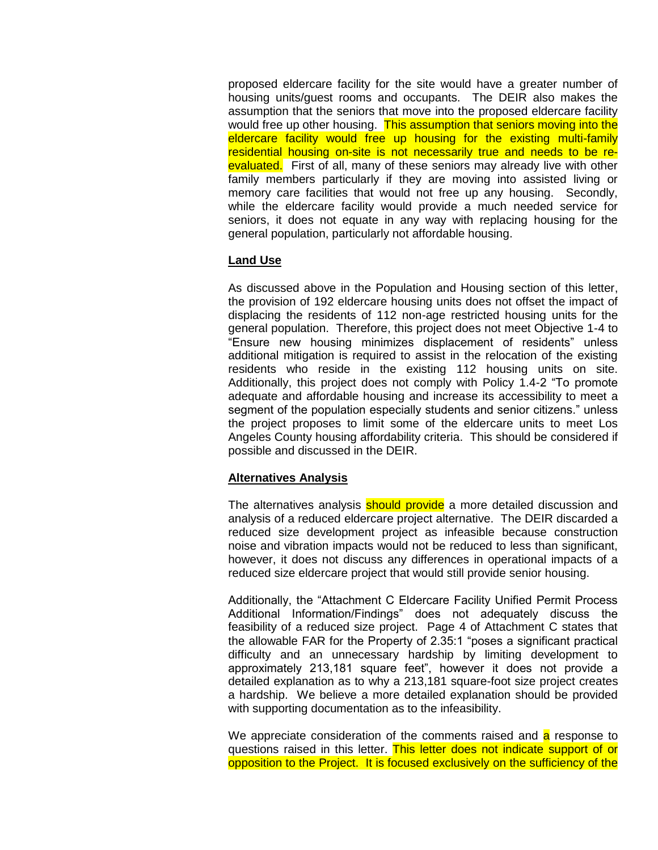proposed eldercare facility for the site would have a greater number of housing units/guest rooms and occupants. The DEIR also makes the assumption that the seniors that move into the proposed eldercare facility would free up other housing. This assumption that seniors moving into the eldercare facility would free up housing for the existing multi-family residential housing on-site is not necessarily true and needs to be reevaluated. First of all, many of these seniors may already live with other family members particularly if they are moving into assisted living or memory care facilities that would not free up any housing. Secondly, while the eldercare facility would provide a much needed service for seniors, it does not equate in any way with replacing housing for the general population, particularly not affordable housing.

# **Land Use**

As discussed above in the Population and Housing section of this letter, the provision of 192 eldercare housing units does not offset the impact of displacing the residents of 112 non-age restricted housing units for the general population. Therefore, this project does not meet Objective 1-4 to "Ensure new housing minimizes displacement of residents" unless additional mitigation is required to assist in the relocation of the existing residents who reside in the existing 112 housing units on site. Additionally, this project does not comply with Policy 1.4-2 "To promote adequate and affordable housing and increase its accessibility to meet a segment of the population especially students and senior citizens." unless the project proposes to limit some of the eldercare units to meet Los Angeles County housing affordability criteria. This should be considered if possible and discussed in the DEIR.

# **Alternatives Analysis**

The alternatives analysis **should provide** a more detailed discussion and analysis of a reduced eldercare project alternative. The DEIR discarded a reduced size development project as infeasible because construction noise and vibration impacts would not be reduced to less than significant, however, it does not discuss any differences in operational impacts of a reduced size eldercare project that would still provide senior housing.

Additionally, the "Attachment C Eldercare Facility Unified Permit Process Additional Information/Findings" does not adequately discuss the feasibility of a reduced size project. Page 4 of Attachment C states that the allowable FAR for the Property of 2.35:1 "poses a significant practical difficulty and an unnecessary hardship by limiting development to approximately 213,181 square feet", however it does not provide a detailed explanation as to why a 213,181 square-foot size project creates a hardship. We believe a more detailed explanation should be provided with supporting documentation as to the infeasibility.

We appreciate consideration of the comments raised and a response to questions raised in this letter. This letter does not indicate support of or opposition to the Project. It is focused exclusively on the sufficiency of the